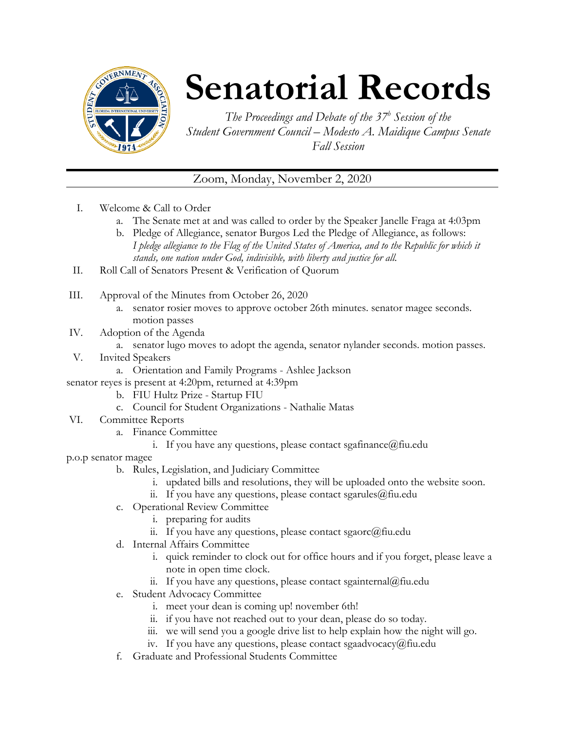

## **Senatorial Records**

*The Proceedings and Debate of the 37 <sup>h</sup> Session of the Student Government Council – Modesto A. Maidique Campus Senate Fall Session*

## Zoom, Monday, November 2, 2020

- I. Welcome & Call to Order
	- a. The Senate met at and was called to order by the Speaker Janelle Fraga at 4:03pm
	- b. Pledge of Allegiance, senator Burgos Led the Pledge of Allegiance, as follows: *I pledge allegiance to the Flag of the United States of America, and to the Republic for which it stands, one nation under God, indivisible, with liberty and justice for all.*
- II. Roll Call of Senators Present & Verification of Quorum
- III. Approval of the Minutes from October 26, 2020
	- a. senator rosier moves to approve october 26th minutes. senator magee seconds. motion passes
- IV. Adoption of the Agenda
	- a. senator lugo moves to adopt the agenda, senator nylander seconds. motion passes.
- V. Invited Speakers
	- a. Orientation and Family Programs Ashlee Jackson
- senator reyes is present at 4:20pm, returned at 4:39pm
	- b. FIU Hultz Prize Startup FIU
	- c. Council for Student Organizations Nathalie Matas
- VI. Committee Reports
	- a. Finance Committee
		- i. If you have any questions, please contact sgafinance  $@$  fiu.edu

p.o.p senator magee

- b. Rules, Legislation, and Judiciary Committee
	- i. updated bills and resolutions, they will be uploaded onto the website soon.
	- ii. If you have any questions, please contact sgarules  $(\partial)$  fiu.edu
- c. Operational Review Committee
	- i. preparing for audits
	- ii. If you have any questions, please contact sgaorc $@$ fiu.edu
- d. Internal Affairs Committee
	- i. quick reminder to clock out for office hours and if you forget, please leave a note in open time clock.
	- ii. If you have any questions, please contact sgainternal@fiu.edu
- e. Student Advocacy Committee
	- i. meet your dean is coming up! november 6th!
	- ii. if you have not reached out to your dean, please do so today.
	- iii. we will send you a google drive list to help explain how the night will go.
	- iv. If you have any questions, please contact sgaadvocacy@fiu.edu
- f. Graduate and Professional Students Committee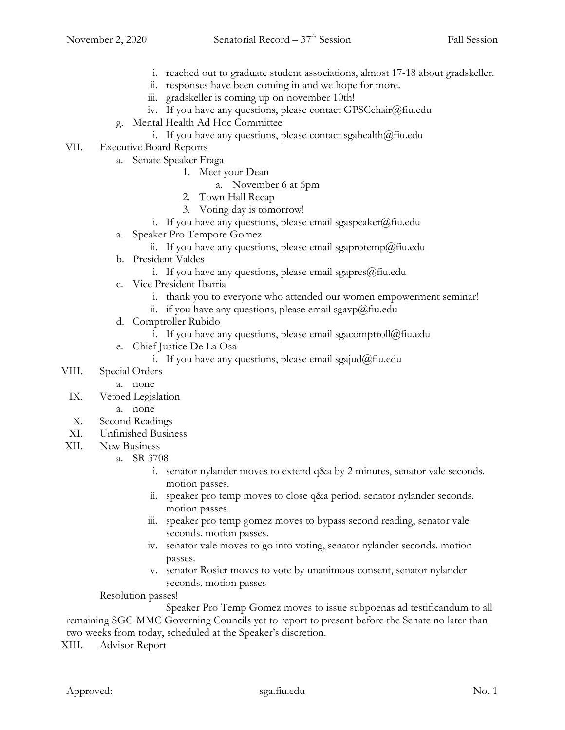- i. reached out to graduate student associations, almost 17-18 about gradskeller.
- ii. responses have been coming in and we hope for more.
- iii. gradskeller is coming up on november 10th!
- iv. If you have any questions, please contact GPSCchair@fiu.edu
- g. Mental Health Ad Hoc Committee
	- i. If you have any questions, please contact sgahealth $@$ fiu.edu
- VII. Executive Board Reports
	- a. Senate Speaker Fraga
		- 1. Meet your Dean
			- a. November 6 at 6pm
		- 2. Town Hall Recap
		- 3. Voting day is tomorrow!
		- i. If you have any questions, please email sgaspeaker@fiu.edu
	- a. Speaker Pro Tempore Gomez
		- ii. If you have any questions, please email sgaprotemp@fiu.edu
	- b. President Valdes
		- i. If you have any questions, please email sgapres $@$ fiu.edu
	- c. Vice President Ibarria
		- i. thank you to everyone who attended our women empowerment seminar!
		- ii. if you have any questions, please email sgavp $@$ fiu.edu
	- d. Comptroller Rubido
		- i. If you have any questions, please email sgacomptroll@fiu.edu
	- e. Chief Justice De La Osa
		- i. If you have any questions, please email sgajud@fiu.edu
- VIII. Special Orders
	- a. none
	- IX. Vetoed Legislation
		- a. none
	- X. Second Readings
	- XI. Unfinished Business
- XII. New Business
	- a. SR 3708
		- i. senator nylander moves to extend q&a by 2 minutes, senator vale seconds. motion passes.
		- ii. speaker pro temp moves to close q&a period. senator nylander seconds. motion passes.
		- iii. speaker pro temp gomez moves to bypass second reading, senator vale seconds. motion passes.
		- iv. senator vale moves to go into voting, senator nylander seconds. motion passes.
		- v. senator Rosier moves to vote by unanimous consent, senator nylander seconds. motion passes

Resolution passes!

Speaker Pro Temp Gomez moves to issue subpoenas ad testificandum to all remaining SGC-MMC Governing Councils yet to report to present before the Senate no later than two weeks from today, scheduled at the Speaker's discretion.

XIII. Advisor Report